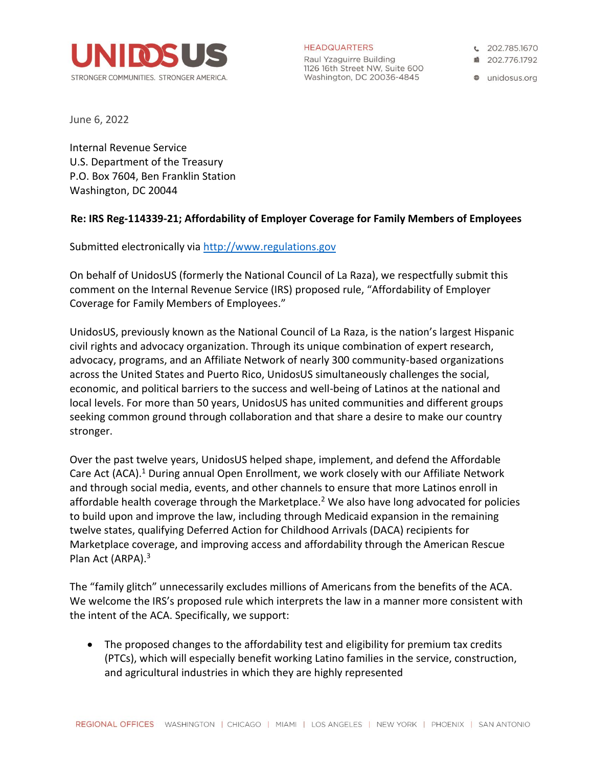

**HEADQUARTERS** 

Raul Yzaguirre Building 1126 16th Street NW, Suite 600 Washington, DC 20036-4845

€ 202.785.1670

■ 202.776.1792

**a** unidosus.org

June 6, 2022

Internal Revenue Service U.S. Department of the Treasury P.O. Box 7604, Ben Franklin Station Washington, DC 20044

#### **Re: IRS Reg-114339-21; Affordability of Employer Coverage for Family Members of Employees**

Submitted electronically via [http://www.regulations.gov](http://www.regulations.gov/)

On behalf of UnidosUS (formerly the National Council of La Raza), we respectfully submit this comment on the Internal Revenue Service (IRS) proposed rule, "Affordability of Employer Coverage for Family Members of Employees."

UnidosUS, previously known as the National Council of La Raza, is the nation's largest Hispanic civil rights and advocacy organization. Through its unique combination of expert research, advocacy, programs, and an Affiliate Network of nearly 300 community-based organizations across the United States and Puerto Rico, UnidosUS simultaneously challenges the social, economic, and political barriers to the success and well-being of Latinos at the national and local levels. For more than 50 years, UnidosUS has united communities and different groups seeking common ground through collaboration and that share a desire to make our country stronger.

Over the past twelve years, UnidosUS helped shape, implement, and defend the Affordable Care Act (ACA). <sup>1</sup> During annual Open Enrollment, we work closely with our Affiliate Network and through social media, events, and other channels to ensure that more Latinos enroll in affordable health coverage through the Marketplace.<sup>2</sup> We also have long advocated for policies to build upon and improve the law, including through Medicaid expansion in the remaining twelve states, qualifying Deferred Action for Childhood Arrivals (DACA) recipients for Marketplace coverage, and improving access and affordability through the American Rescue Plan Act (ARPA).<sup>3</sup>

The "family glitch" unnecessarily excludes millions of Americans from the benefits of the ACA. We welcome the IRS's proposed rule which interprets the law in a manner more consistent with the intent of the ACA. Specifically, we support:

• The proposed changes to the affordability test and eligibility for premium tax credits (PTCs), which will especially benefit working Latino families in the service, construction, and agricultural industries in which they are highly represented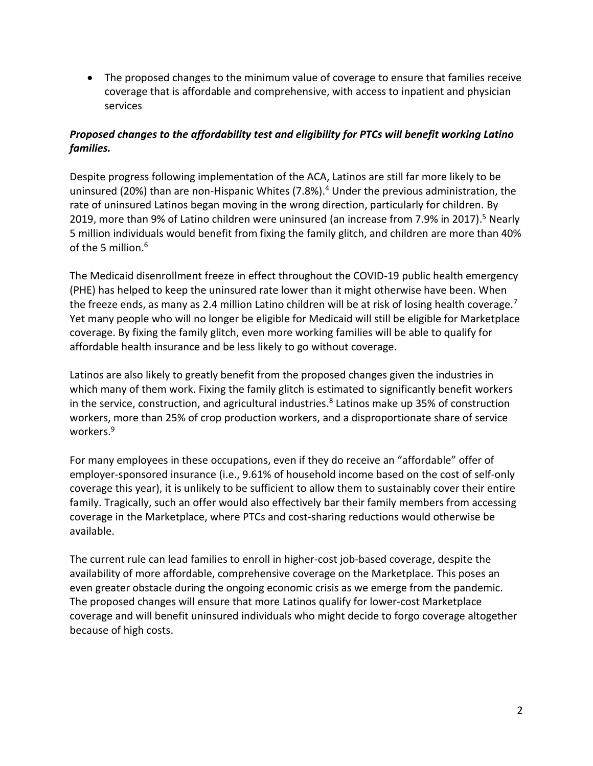• The proposed changes to the minimum value of coverage to ensure that families receive coverage that is affordable and comprehensive, with access to inpatient and physician services

# *Proposed changes to the affordability test and eligibility for PTCs will benefit working Latino families.*

Despite progress following implementation of the ACA, Latinos are still far more likely to be uninsured (20%) than are non-Hispanic Whites (7.8%).<sup>4</sup> Under the previous administration, the rate of uninsured Latinos began moving in the wrong direction, particularly for children. By 2019, more than 9% of Latino children were uninsured (an increase from 7.9% in 2017).<sup>5</sup> Nearly 5 million individuals would benefit from fixing the family glitch, and children are more than 40% of the 5 million. 6

The Medicaid disenrollment freeze in effect throughout the COVID-19 public health emergency (PHE) has helped to keep the uninsured rate lower than it might otherwise have been. When the freeze ends, as many as 2.4 million Latino children will be at risk of losing health coverage.<sup>7</sup> Yet many people who will no longer be eligible for Medicaid will still be eligible for Marketplace coverage. By fixing the family glitch, even more working families will be able to qualify for affordable health insurance and be less likely to go without coverage.

Latinos are also likely to greatly benefit from the proposed changes given the industries in which many of them work. Fixing the family glitch is estimated to significantly benefit workers in the service, construction, and agricultural industries. 8 Latinos make up 35% of construction workers, more than 25% of crop production workers, and a disproportionate share of service workers.<sup>9</sup>

For many employees in these occupations, even if they do receive an "affordable" offer of employer-sponsored insurance (i.e., 9.61% of household income based on the cost of self-only coverage this year), it is unlikely to be sufficient to allow them to sustainably cover their entire family. Tragically, such an offer would also effectively bar their family members from accessing coverage in the Marketplace, where PTCs and cost-sharing reductions would otherwise be available.

The current rule can lead families to enroll in higher-cost job-based coverage, despite the availability of more affordable, comprehensive coverage on the Marketplace. This poses an even greater obstacle during the ongoing economic crisis as we emerge from the pandemic. The proposed changes will ensure that more Latinos qualify for lower-cost Marketplace coverage and will benefit uninsured individuals who might decide to forgo coverage altogether because of high costs.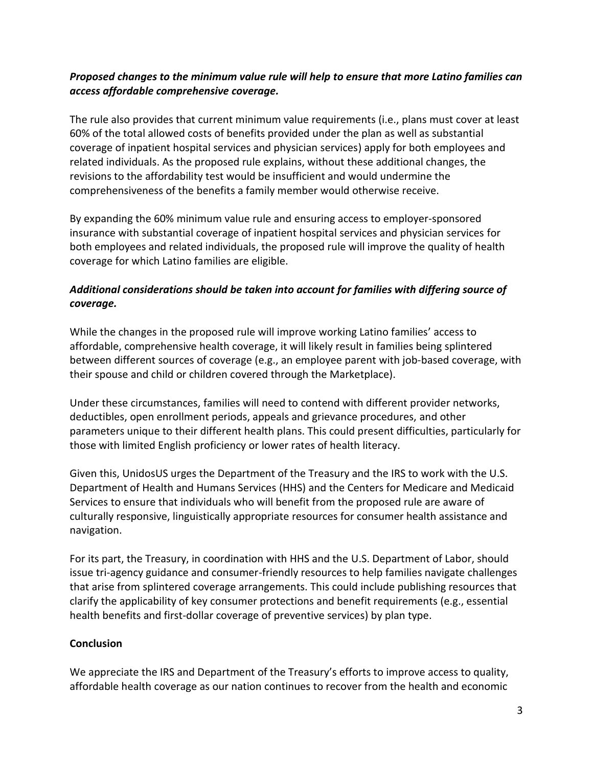## *Proposed changes to the minimum value rule will help to ensure that more Latino families can access affordable comprehensive coverage.*

The rule also provides that current minimum value requirements (i.e., plans must cover at least 60% of the total allowed costs of benefits provided under the plan as well as substantial coverage of inpatient hospital services and physician services) apply for both employees and related individuals. As the proposed rule explains, without these additional changes, the revisions to the affordability test would be insufficient and would undermine the comprehensiveness of the benefits a family member would otherwise receive.

By expanding the 60% minimum value rule and ensuring access to employer-sponsored insurance with substantial coverage of inpatient hospital services and physician services for both employees and related individuals, the proposed rule will improve the quality of health coverage for which Latino families are eligible.

# *Additional considerations should be taken into account for families with differing source of coverage.*

While the changes in the proposed rule will improve working Latino families' access to affordable, comprehensive health coverage, it will likely result in families being splintered between different sources of coverage (e.g., an employee parent with job-based coverage, with their spouse and child or children covered through the Marketplace).

Under these circumstances, families will need to contend with different provider networks, deductibles, open enrollment periods, appeals and grievance procedures, and other parameters unique to their different health plans. This could present difficulties, particularly for those with limited English proficiency or lower rates of health literacy.

Given this, UnidosUS urges the Department of the Treasury and the IRS to work with the U.S. Department of Health and Humans Services (HHS) and the Centers for Medicare and Medicaid Services to ensure that individuals who will benefit from the proposed rule are aware of culturally responsive, linguistically appropriate resources for consumer health assistance and navigation.

For its part, the Treasury, in coordination with HHS and the U.S. Department of Labor, should issue tri-agency guidance and consumer-friendly resources to help families navigate challenges that arise from splintered coverage arrangements. This could include publishing resources that clarify the applicability of key consumer protections and benefit requirements (e.g., essential health benefits and first-dollar coverage of preventive services) by plan type.

#### **Conclusion**

We appreciate the IRS and Department of the Treasury's efforts to improve access to quality, affordable health coverage as our nation continues to recover from the health and economic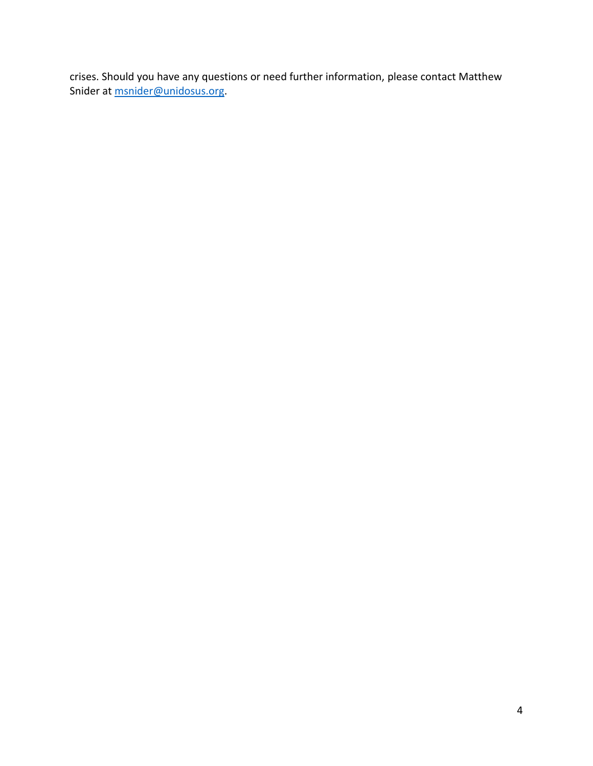crises. Should you have any questions or need further information, please contact Matthew Snider at **msnider@unidosus.org**.